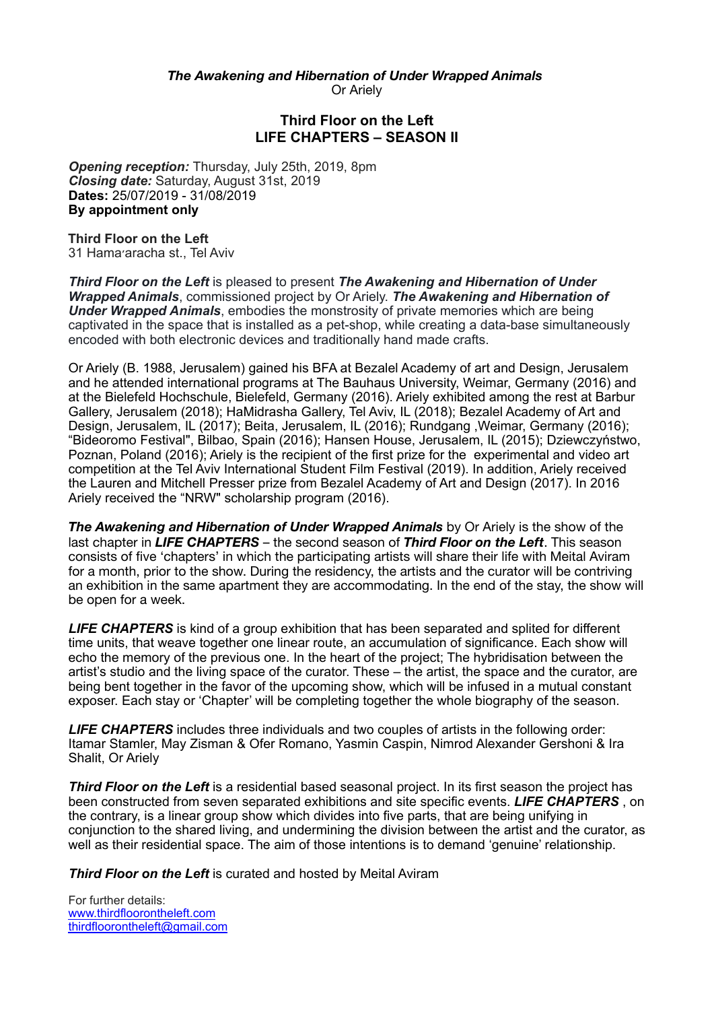*The Awakening and Hibernation of Under Wrapped Animals* Or Ariely

## **Third Floor on the Left LIFE CHAPTERS – SEASON II**

*Opening reception:* Thursday, July 25th, 2019, 8pm *Closing date:* Saturday, August 31st, 2019 **Dates:** 25/07/2019 - 31/08/2019 **By appointment only** 

**Third Floor on the Left** 31 Hama׳aracha st., Tel Aviv

*Third Floor on the Left* is pleased to present *The Awakening and Hibernation of Under Wrapped Animals*, commissioned project by Or Ariely. *The Awakening and Hibernation of Under Wrapped Animals*, embodies the monstrosity of private memories which are being captivated in the space that is installed as a pet-shop, while creating a data-base simultaneously encoded with both electronic devices and traditionally hand made crafts.

Or Ariely (B. 1988, Jerusalem) gained his BFA at Bezalel Academy of art and Design, Jerusalem and he attended international programs at The Bauhaus University, Weimar, Germany (2016) and at the Bielefeld Hochschule, Bielefeld, Germany (2016). Ariely exhibited among the rest at Barbur Gallery, Jerusalem (2018); HaMidrasha Gallery, Tel Aviv, IL (2018); Bezalel Academy of Art and Design, Jerusalem, IL (2017); Beita, Jerusalem, IL (2016); Rundgang ,Weimar, Germany (2016); "Bideoromo Festival", Bilbao, Spain (2016); Hansen House, Jerusalem, IL (2015); Dziewczyństwo, Poznan, Poland (2016); Ariely is the recipient of the first prize for the experimental and video art competition at the Tel Aviv International Student Film Festival (2019). In addition, Ariely received the Lauren and Mitchell Presser prize from Bezalel Academy of Art and Design (2017). In 2016 Ariely received the "NRW" scholarship program (2016).

*The Awakening and Hibernation of Under Wrapped Animals* by Or Ariely is the show of the last chapter in *LIFE CHAPTERS* – the second season of *Third Floor on the Left*. This season consists of five 'chapters' in which the participating artists will share their life with Meital Aviram for a month, prior to the show. During the residency, the artists and the curator will be contriving an exhibition in the same apartment they are accommodating. In the end of the stay, the show will be open for a week.

*LIFE CHAPTERS* is kind of a group exhibition that has been separated and splited for different time units, that weave together one linear route, an accumulation of significance. Each show will echo the memory of the previous one. In the heart of the project; The hybridisation between the artist's studio and the living space of the curator. These – the artist, the space and the curator, are being bent together in the favor of the upcoming show, which will be infused in a mutual constant exposer. Each stay or 'Chapter' will be completing together the whole biography of the season.

*LIFE CHAPTERS* includes three individuals and two couples of artists in the following order: Itamar Stamler, May Zisman & Ofer Romano, Yasmin Caspin, Nimrod Alexander Gershoni & Ira Shalit, Or Ariely

*Third Floor on the Left* is a residential based seasonal project. In its first season the project has been constructed from seven separated exhibitions and site specific events. *LIFE CHAPTERS* , on the contrary, is a linear group show which divides into five parts, that are being unifying in conjunction to the shared living, and undermining the division between the artist and the curator, as well as their residential space. The aim of those intentions is to demand 'genuine' relationship.

*Third Floor on the Left* is curated and hosted by Meital Aviram

For further details: [www.thirdfloorontheleft.com](http://www.thirdfloorontheleft.com) [thirdfloorontheleft@gmail.com](mailto:thirdfloorontheleft@gmail.com)